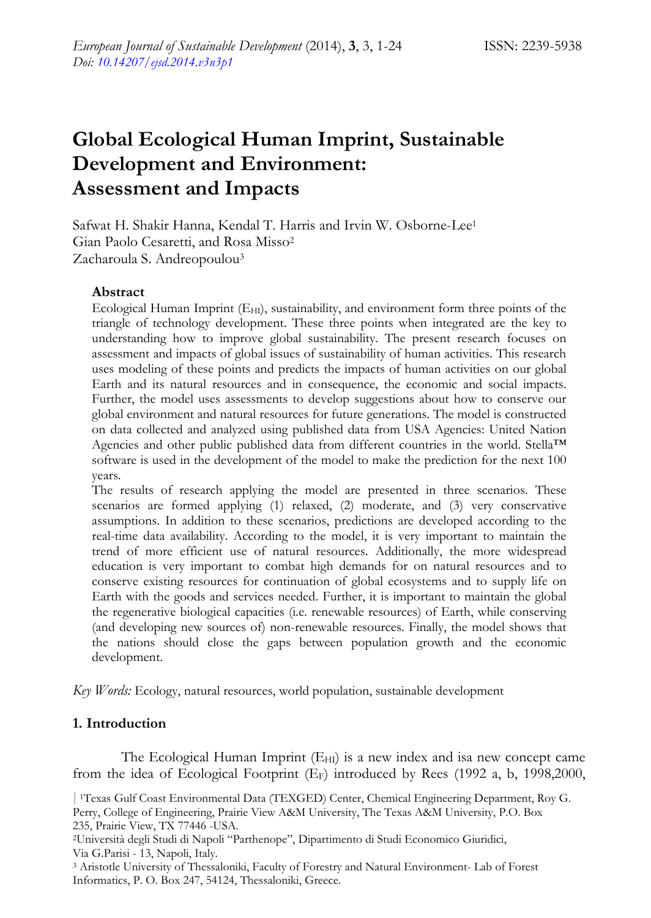# **Global Ecological Human Imprint, Sustainable Development and Environment: Assessment and Impacts**

Safwat H. Shakir Hanna, Kendal T. Harris and Irvin W. Osborne-Lee1 Gian Paolo Cesaretti, and Rosa Misso2 Zacharoula S. Andreopoulou3

#### **Abstract**

Ecological Human Imprint  $(E_{HI})$ , sustainability, and environment form three points of the triangle of technology development. These three points when integrated are the key to understanding how to improve global sustainability. The present research focuses on assessment and impacts of global issues of sustainability of human activities. This research uses modeling of these points and predicts the impacts of human activities on our global Earth and its natural resources and in consequence, the economic and social impacts. Further, the model uses assessments to develop suggestions about how to conserve our global environment and natural resources for future generations. The model is constructed on data collected and analyzed using published data from USA Agencies: United Nation Agencies and other public published data from different countries in the world. Stella™ software is used in the development of the model to make the prediction for the next 100 years.

The results of research applying the model are presented in three scenarios. These scenarios are formed applying (1) relaxed, (2) moderate, and (3) very conservative assumptions. In addition to these scenarios, predictions are developed according to the real-time data availability. According to the model, it is very important to maintain the trend of more efficient use of natural resources. Additionally, the more widespread education is very important to combat high demands for on natural resources and to conserve existing resources for continuation of global ecosystems and to supply life on Earth with the goods and services needed. Further, it is important to maintain the global the regenerative biological capacities (i.e. renewable resources) of Earth, while conserving (and developing new sources of) non-renewable resources. Finally, the model shows that the nations should close the gaps between population growth and the economic development.

*Key Words:* Ecology, natural resources, world population, sustainable development

## **1. Introduction**

The Ecological Human Imprint (E<sub>HI</sub>) is a new index and isa new concept came from the idea of Ecological Footprint (EF) introduced by Rees (1992 a, b, 1998,2000,

*|* 1Texas Gulf Coast Environmental Data (TEXGED) Center, Chemical Engineering Department, Roy G. Perry, College of Engineering, Prairie View A&M University, The Texas A&M University, P.O. Box 235, Prairie View, TX 77446 -USA.

2Università degli Studi di Napoli "Parthenope", Dipartimento di Studi Economico Giuridici, Via G.Parisi - 13, Napoli, Italy.

3 Aristotle University of Thessaloniki, Faculty of Forestry and Natural Environment- Lab of Forest Informatics, P. O. Box 247, 54124, Thessaloniki, Greece.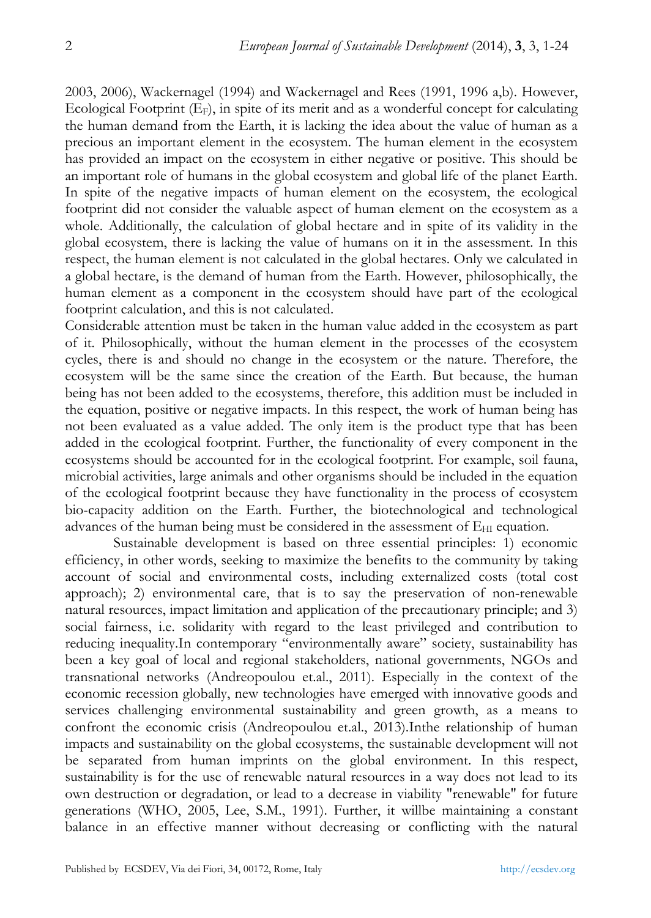2003, 2006), Wackernagel (1994) and Wackernagel and Rees (1991, 1996 a,b). However, Ecological Footprint (EF), in spite of its merit and as a wonderful concept for calculating the human demand from the Earth, it is lacking the idea about the value of human as a precious an important element in the ecosystem. The human element in the ecosystem has provided an impact on the ecosystem in either negative or positive. This should be an important role of humans in the global ecosystem and global life of the planet Earth. In spite of the negative impacts of human element on the ecosystem, the ecological footprint did not consider the valuable aspect of human element on the ecosystem as a whole. Additionally, the calculation of global hectare and in spite of its validity in the global ecosystem, there is lacking the value of humans on it in the assessment. In this respect, the human element is not calculated in the global hectares. Only we calculated in a global hectare, is the demand of human from the Earth. However, philosophically, the human element as a component in the ecosystem should have part of the ecological footprint calculation, and this is not calculated.

Considerable attention must be taken in the human value added in the ecosystem as part of it. Philosophically, without the human element in the processes of the ecosystem cycles, there is and should no change in the ecosystem or the nature. Therefore, the ecosystem will be the same since the creation of the Earth. But because, the human being has not been added to the ecosystems, therefore, this addition must be included in the equation, positive or negative impacts. In this respect, the work of human being has not been evaluated as a value added. The only item is the product type that has been added in the ecological footprint. Further, the functionality of every component in the ecosystems should be accounted for in the ecological footprint. For example, soil fauna, microbial activities, large animals and other organisms should be included in the equation of the ecological footprint because they have functionality in the process of ecosystem bio-capacity addition on the Earth. Further, the biotechnological and technological advances of the human being must be considered in the assessment of  $E_{HI}$  equation.

Sustainable development is based on three essential principles: 1) economic efficiency, in other words, seeking to maximize the benefits to the community by taking account of social and environmental costs, including externalized costs (total cost approach); 2) environmental care, that is to say the preservation of non-renewable natural resources, impact limitation and application of the precautionary principle; and 3) social fairness, i.e. solidarity with regard to the least privileged and contribution to reducing inequality.In contemporary "environmentally aware" society, sustainability has been a key goal of local and regional stakeholders, national governments, NGOs and transnational networks (Andreopoulou et.al., 2011). Especially in the context of the economic recession globally, new technologies have emerged with innovative goods and services challenging environmental sustainability and green growth, as a means to confront the economic crisis (Andreopoulou et.al., 2013).Inthe relationship of human impacts and sustainability on the global ecosystems, the sustainable development will not be separated from human imprints on the global environment. In this respect, sustainability is for the use of renewable natural resources in a way does not lead to its own destruction or degradation, or lead to a decrease in viability "renewable" for future generations (WHO, 2005, Lee, S.M., 1991). Further, it willbe maintaining a constant balance in an effective manner without decreasing or conflicting with the natural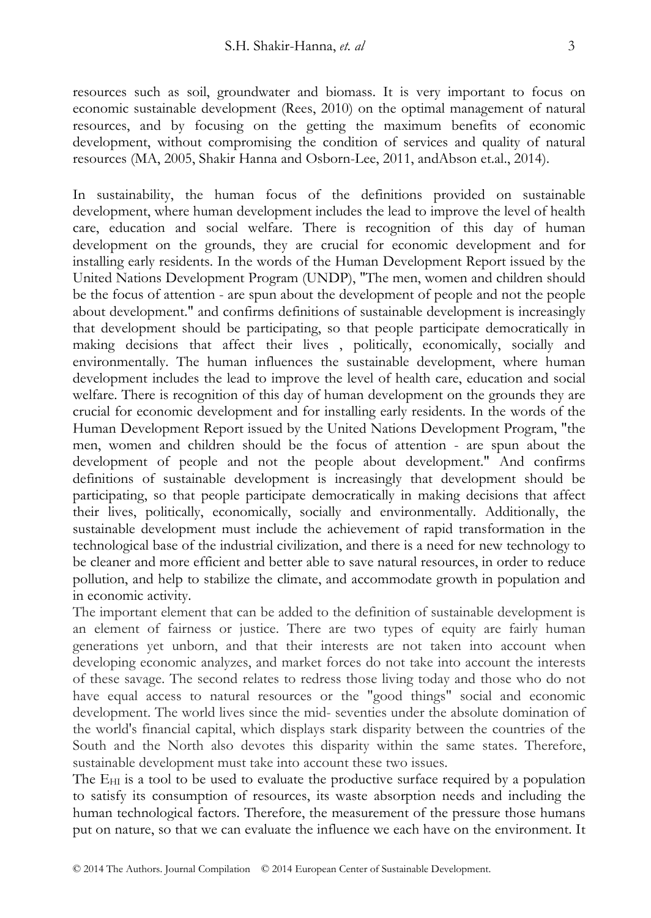resources such as soil, groundwater and biomass. It is very important to focus on economic sustainable development (Rees, 2010) on the optimal management of natural resources, and by focusing on the getting the maximum benefits of economic development, without compromising the condition of services and quality of natural resources (MA, 2005, Shakir Hanna and Osborn-Lee, 2011, andAbson et.al., 2014).

In sustainability, the human focus of the definitions provided on sustainable development, where human development includes the lead to improve the level of health care, education and social welfare. There is recognition of this day of human development on the grounds, they are crucial for economic development and for installing early residents. In the words of the Human Development Report issued by the United Nations Development Program (UNDP), "The men, women and children should be the focus of attention - are spun about the development of people and not the people about development." and confirms definitions of sustainable development is increasingly that development should be participating, so that people participate democratically in making decisions that affect their lives , politically, economically, socially and environmentally. The human influences the sustainable development, where human development includes the lead to improve the level of health care, education and social welfare. There is recognition of this day of human development on the grounds they are crucial for economic development and for installing early residents. In the words of the Human Development Report issued by the United Nations Development Program, "the men, women and children should be the focus of attention - are spun about the development of people and not the people about development." And confirms definitions of sustainable development is increasingly that development should be participating, so that people participate democratically in making decisions that affect their lives, politically, economically, socially and environmentally. Additionally, the sustainable development must include the achievement of rapid transformation in the technological base of the industrial civilization, and there is a need for new technology to be cleaner and more efficient and better able to save natural resources, in order to reduce pollution, and help to stabilize the climate, and accommodate growth in population and in economic activity.

The important element that can be added to the definition of sustainable development is an element of fairness or justice. There are two types of equity are fairly human generations yet unborn, and that their interests are not taken into account when developing economic analyzes, and market forces do not take into account the interests of these savage. The second relates to redress those living today and those who do not have equal access to natural resources or the "good things" social and economic development. The world lives since the mid- seventies under the absolute domination of the world's financial capital, which displays stark disparity between the countries of the South and the North also devotes this disparity within the same states. Therefore, sustainable development must take into account these two issues.

The  $E_{HI}$  is a tool to be used to evaluate the productive surface required by a population to satisfy its consumption of resources, its waste absorption needs and including the human technological factors. Therefore, the measurement of the pressure those humans put on nature, so that we can evaluate the influence we each have on the environment. It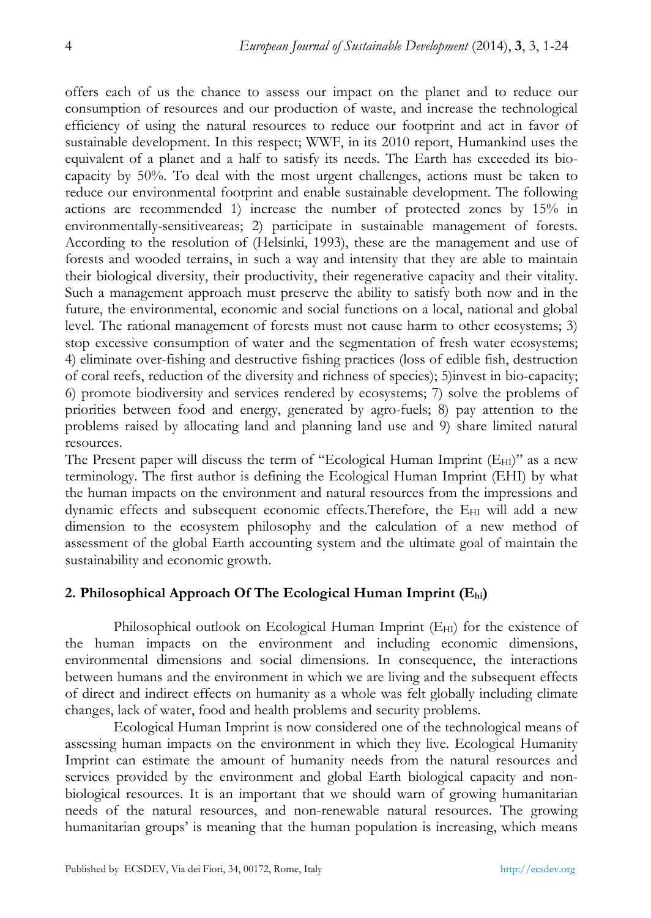offers each of us the chance to assess our impact on the planet and to reduce our consumption of resources and our production of waste, and increase the technological efficiency of using the natural resources to reduce our footprint and act in favor of sustainable development. In this respect; WWF, in its 2010 report, Humankind uses the equivalent of a planet and a half to satisfy its needs. The Earth has exceeded its biocapacity by 50%. To deal with the most urgent challenges, actions must be taken to reduce our environmental footprint and enable sustainable development. The following actions are recommended 1) increase the number of protected zones by 15% in environmentally-sensitiveareas; 2) participate in sustainable management of forests. According to the resolution of (Helsinki, 1993), these are the management and use of forests and wooded terrains, in such a way and intensity that they are able to maintain their biological diversity, their productivity, their regenerative capacity and their vitality. Such a management approach must preserve the ability to satisfy both now and in the future, the environmental, economic and social functions on a local, national and global level. The rational management of forests must not cause harm to other ecosystems; 3) stop excessive consumption of water and the segmentation of fresh water ecosystems; 4) eliminate over-fishing and destructive fishing practices (loss of edible fish, destruction of coral reefs, reduction of the diversity and richness of species); 5)invest in bio-capacity; 6) promote biodiversity and services rendered by ecosystems; 7) solve the problems of priorities between food and energy, generated by agro-fuels; 8) pay attention to the problems raised by allocating land and planning land use and 9) share limited natural resources.

The Present paper will discuss the term of "Ecological Human Imprint  $(E_{\text{HI}})$ " as a new terminology. The first author is defining the Ecological Human Imprint (EHI) by what the human impacts on the environment and natural resources from the impressions and dynamic effects and subsequent economic effects. Therefore, the  $E_{\text{HI}}$  will add a new dimension to the ecosystem philosophy and the calculation of a new method of assessment of the global Earth accounting system and the ultimate goal of maintain the sustainability and economic growth.

## **2. Philosophical Approach Of The Ecological Human Imprint (Ehi)**

Philosophical outlook on Ecological Human Imprint  $(E_{H1})$  for the existence of the human impacts on the environment and including economic dimensions, environmental dimensions and social dimensions. In consequence, the interactions between humans and the environment in which we are living and the subsequent effects of direct and indirect effects on humanity as a whole was felt globally including climate changes, lack of water, food and health problems and security problems.

Ecological Human Imprint is now considered one of the technological means of assessing human impacts on the environment in which they live. Ecological Humanity Imprint can estimate the amount of humanity needs from the natural resources and services provided by the environment and global Earth biological capacity and nonbiological resources. It is an important that we should warn of growing humanitarian needs of the natural resources, and non-renewable natural resources. The growing humanitarian groups' is meaning that the human population is increasing, which means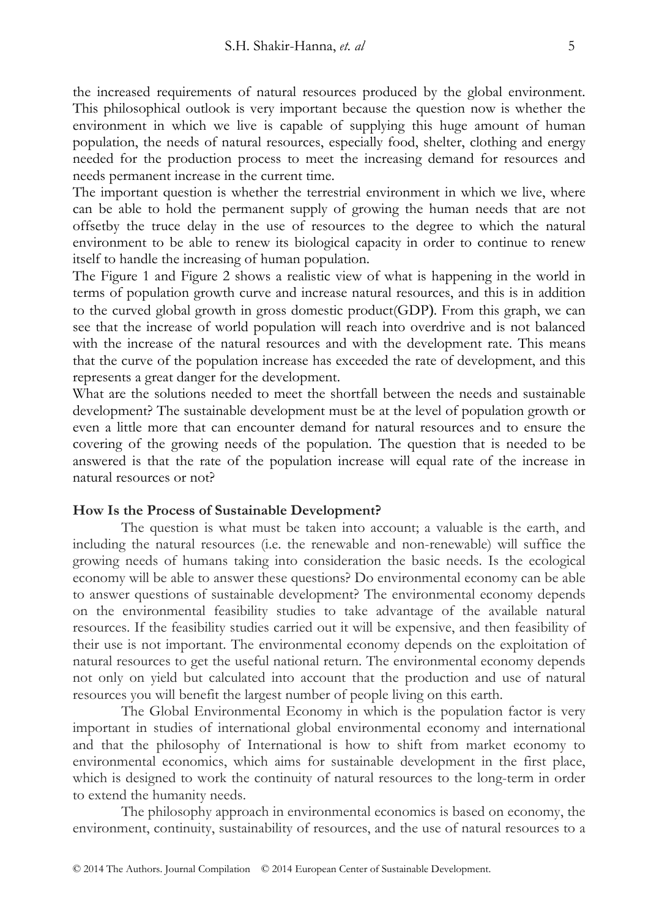the increased requirements of natural resources produced by the global environment. This philosophical outlook is very important because the question now is whether the environment in which we live is capable of supplying this huge amount of human population, the needs of natural resources, especially food, shelter, clothing and energy needed for the production process to meet the increasing demand for resources and needs permanent increase in the current time.

The important question is whether the terrestrial environment in which we live, where can be able to hold the permanent supply of growing the human needs that are not offsetby the truce delay in the use of resources to the degree to which the natural environment to be able to renew its biological capacity in order to continue to renew itself to handle the increasing of human population.

The Figure 1 and Figure 2 shows a realistic view of what is happening in the world in terms of population growth curve and increase natural resources, and this is in addition to the curved global growth in gross domestic product(GDP). From this graph, we can see that the increase of world population will reach into overdrive and is not balanced with the increase of the natural resources and with the development rate. This means that the curve of the population increase has exceeded the rate of development, and this represents a great danger for the development.

What are the solutions needed to meet the shortfall between the needs and sustainable development? The sustainable development must be at the level of population growth or even a little more that can encounter demand for natural resources and to ensure the covering of the growing needs of the population. The question that is needed to be answered is that the rate of the population increase will equal rate of the increase in natural resources or not?

#### **How Is the Process of Sustainable Development?**

The question is what must be taken into account; a valuable is the earth, and including the natural resources (i.e. the renewable and non-renewable) will suffice the growing needs of humans taking into consideration the basic needs. Is the ecological economy will be able to answer these questions? Do environmental economy can be able to answer questions of sustainable development? The environmental economy depends on the environmental feasibility studies to take advantage of the available natural resources. If the feasibility studies carried out it will be expensive, and then feasibility of their use is not important. The environmental economy depends on the exploitation of natural resources to get the useful national return. The environmental economy depends not only on yield but calculated into account that the production and use of natural resources you will benefit the largest number of people living on this earth.

The Global Environmental Economy in which is the population factor is very important in studies of international global environmental economy and international and that the philosophy of International is how to shift from market economy to environmental economics, which aims for sustainable development in the first place, which is designed to work the continuity of natural resources to the long-term in order to extend the humanity needs.

The philosophy approach in environmental economics is based on economy, the environment, continuity, sustainability of resources, and the use of natural resources to a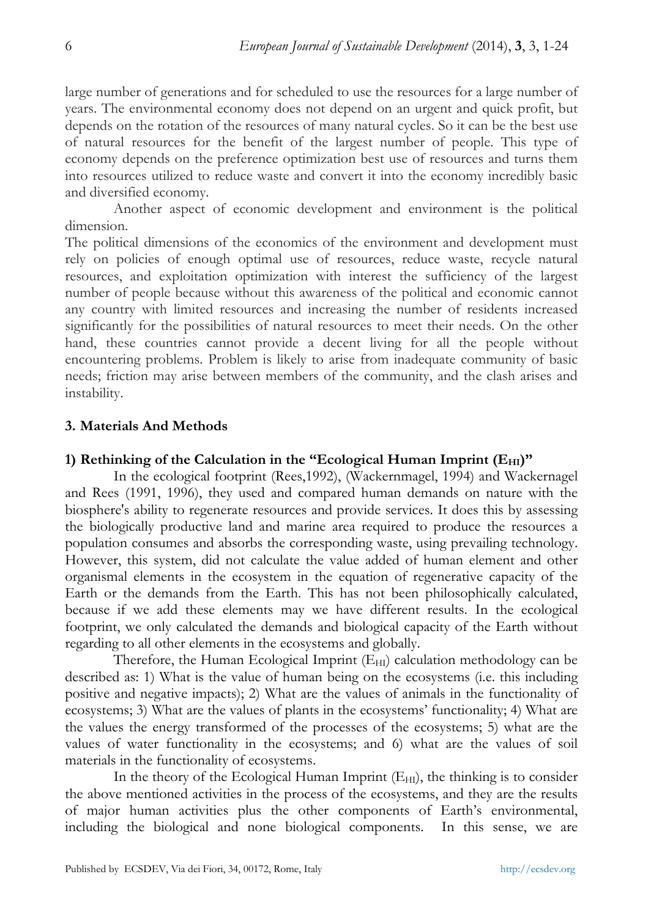large number of generations and for scheduled to use the resources for a large number of years. The environmental economy does not depend on an urgent and quick profit, but depends on the rotation of the resources of many natural cycles. So it can be the best use of natural resources for the benefit of the largest number of people. This type of economy depends on the preference optimization best use of resources and turns them into resources utilized to reduce waste and convert it into the economy incredibly basic and diversified economy.

Another aspect of economic development and environment is the political dimension.

The political dimensions of the economics of the environment and development must rely on policies of enough optimal use of resources, reduce waste, recycle natural resources, and exploitation optimization with interest the sufficiency of the largest number of people because without this awareness of the political and economic cannot any country with limited resources and increasing the number of residents increased significantly for the possibilities of natural resources to meet their needs. On the other hand, these countries cannot provide a decent living for all the people without encountering problems. Problem is likely to arise from inadequate community of basic needs; friction may arise between members of the community, and the clash arises and instability.

# **3. Materials And Methods**

# 1) Rethinking of the Calculation in the "Ecological Human Imprint (E<sub>HI</sub>)"

In the ecological footprint (Rees,1992), (Wackernmagel, 1994) and Wackernagel and Rees (1991, 1996), they used and compared human demands on nature with the biosphere's ability to regenerate resources and provide services. It does this by assessing the biologically productive land and marine area required to produce the resources a population consumes and absorbs the corresponding waste, using prevailing technology. However, this system, did not calculate the value added of human element and other organismal elements in the ecosystem in the equation of regenerative capacity of the Earth or the demands from the Earth. This has not been philosophically calculated, because if we add these elements may we have different results. In the ecological footprint, we only calculated the demands and biological capacity of the Earth without regarding to all other elements in the ecosystems and globally.

Therefore, the Human Ecological Imprint  $(E_{HI})$  calculation methodology can be described as: 1) What is the value of human being on the ecosystems (i.e. this including positive and negative impacts); 2) What are the values of animals in the functionality of ecosystems; 3) What are the values of plants in the ecosystems' functionality; 4) What are the values the energy transformed of the processes of the ecosystems; 5) what are the values of water functionality in the ecosystems; and 6) what are the values of soil materials in the functionality of ecosystems.

In the theory of the Ecological Human Imprint  $(E_{HI})$ , the thinking is to consider the above mentioned activities in the process of the ecosystems, and they are the results of major human activities plus the other components of Earth's environmental, including the biological and none biological components. In this sense, we are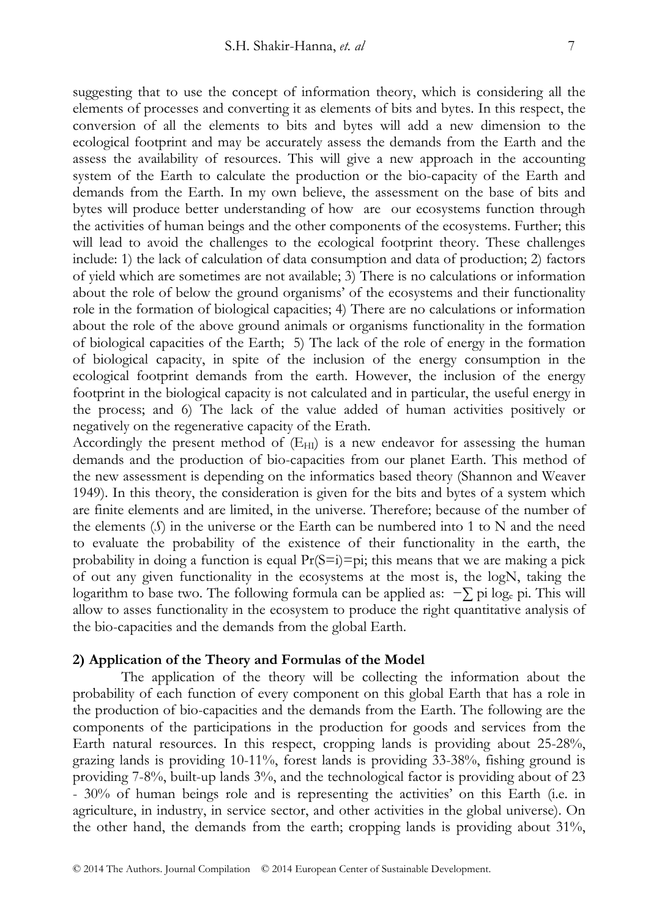suggesting that to use the concept of information theory, which is considering all the elements of processes and converting it as elements of bits and bytes. In this respect, the conversion of all the elements to bits and bytes will add a new dimension to the ecological footprint and may be accurately assess the demands from the Earth and the assess the availability of resources. This will give a new approach in the accounting system of the Earth to calculate the production or the bio-capacity of the Earth and demands from the Earth. In my own believe, the assessment on the base of bits and bytes will produce better understanding of how are our ecosystems function through the activities of human beings and the other components of the ecosystems. Further; this will lead to avoid the challenges to the ecological footprint theory. These challenges include: 1) the lack of calculation of data consumption and data of production; 2) factors of yield which are sometimes are not available; 3) There is no calculations or information about the role of below the ground organisms' of the ecosystems and their functionality role in the formation of biological capacities; 4) There are no calculations or information about the role of the above ground animals or organisms functionality in the formation of biological capacities of the Earth; 5) The lack of the role of energy in the formation of biological capacity, in spite of the inclusion of the energy consumption in the ecological footprint demands from the earth. However, the inclusion of the energy footprint in the biological capacity is not calculated and in particular, the useful energy in the process; and 6) The lack of the value added of human activities positively or negatively on the regenerative capacity of the Erath.

Accordingly the present method of  $(E_{HI})$  is a new endeavor for assessing the human demands and the production of bio-capacities from our planet Earth. This method of the new assessment is depending on the informatics based theory (Shannon and Weaver 1949). In this theory, the consideration is given for the bits and bytes of a system which are finite elements and are limited, in the universe. Therefore; because of the number of the elements (*S*) in the universe or the Earth can be numbered into 1 to N and the need to evaluate the probability of the existence of their functionality in the earth, the probability in doing a function is equal  $Pr(S=i)=pi$ ; this means that we are making a pick of out any given functionality in the ecosystems at the most is, the logN, taking the logarithm to base two. The following formula can be applied as: −∑ pi loge pi. This will allow to asses functionality in the ecosystem to produce the right quantitative analysis of the bio-capacities and the demands from the global Earth.

#### **2) Application of the Theory and Formulas of the Model**

The application of the theory will be collecting the information about the probability of each function of every component on this global Earth that has a role in the production of bio-capacities and the demands from the Earth. The following are the components of the participations in the production for goods and services from the Earth natural resources. In this respect, cropping lands is providing about 25-28%, grazing lands is providing 10-11%, forest lands is providing 33-38%, fishing ground is providing 7-8%, built-up lands 3%, and the technological factor is providing about of 23 - 30% of human beings role and is representing the activities' on this Earth (i.e. in agriculture, in industry, in service sector, and other activities in the global universe). On the other hand, the demands from the earth; cropping lands is providing about 31%,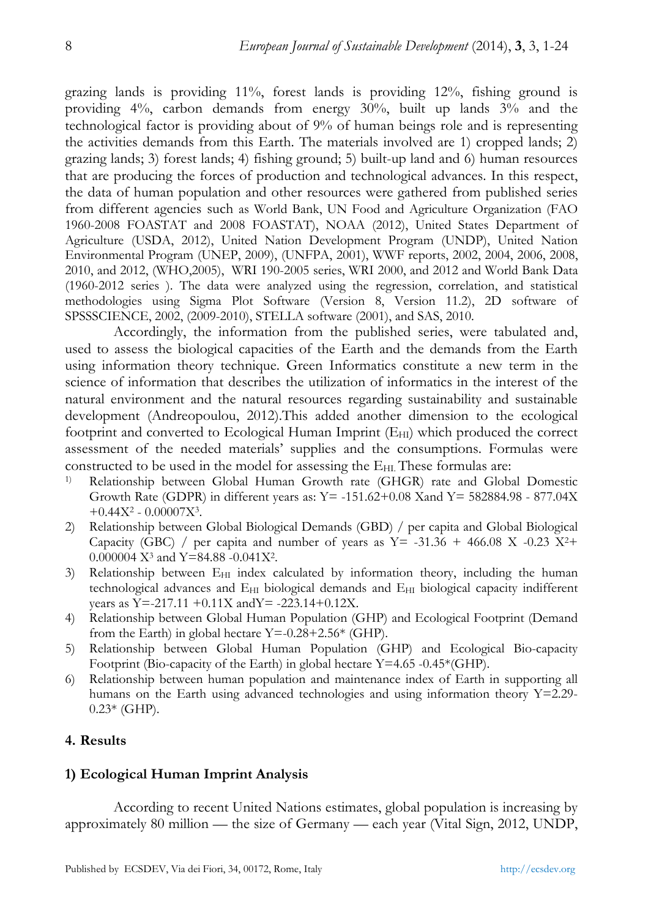grazing lands is providing 11%, forest lands is providing 12%, fishing ground is providing 4%, carbon demands from energy 30%, built up lands 3% and the technological factor is providing about of 9% of human beings role and is representing the activities demands from this Earth. The materials involved are 1) cropped lands; 2) grazing lands; 3) forest lands; 4) fishing ground; 5) built-up land and 6) human resources that are producing the forces of production and technological advances. In this respect, the data of human population and other resources were gathered from published series from different agencies such as World Bank, UN Food and Agriculture Organization (FAO 1960-2008 FOASTAT and 2008 FOASTAT), NOAA (2012), United States Department of Agriculture (USDA, 2012), United Nation Development Program (UNDP), United Nation Environmental Program (UNEP, 2009), (UNFPA, 2001), WWF reports, 2002, 2004, 2006, 2008, 2010, and 2012, (WHO,2005), WRI 190-2005 series, WRI 2000, and 2012 and World Bank Data (1960-2012 series ). The data were analyzed using the regression, correlation, and statistical methodologies using Sigma Plot Software (Version 8, Version 11.2), 2D software of SPSSSCIENCE, 2002, (2009-2010), STELLA software (2001), and SAS, 2010.

Accordingly, the information from the published series, were tabulated and, used to assess the biological capacities of the Earth and the demands from the Earth using information theory technique. Green Informatics constitute a new term in the science of information that describes the utilization of informatics in the interest of the natural environment and the natural resources regarding sustainability and sustainable development (Andreopoulou, 2012).This added another dimension to the ecological footprint and converted to Ecological Human Imprint (EHI) which produced the correct assessment of the needed materials' supplies and the consumptions. Formulas were constructed to be used in the model for assessing the E<sub>HI</sub>. These formulas are:

- 1) Relationship between Global Human Growth rate (GHGR) rate and Global Domestic Growth Rate (GDPR) in different years as: Y= -151.62+0.08 Xand Y= 582884.98 - 877.04X  $+0.44X^2 - 0.00007X^3$ .
- 2) Relationship between Global Biological Demands (GBD) / per capita and Global Biological Capacity (GBC) / per capita and number of years as  $Y = -31.36 + 466.08$  X -0.23 X<sup>2+</sup> 0.000004 X3 and Y=84.88 -0.041X2.
- 3) Relationship between  $E_{\text{HI}}$  index calculated by information theory, including the human technological advances and EHI biological demands and EHI biological capacity indifferent years as Y=-217.11 +0.11X andY= -223.14+0.12X.
- 4) Relationship between Global Human Population (GHP) and Ecological Footprint (Demand from the Earth) in global hectare  $Y = -0.28 + 2.56*$  (GHP).
- 5) Relationship between Global Human Population (GHP) and Ecological Bio-capacity Footprint (Bio-capacity of the Earth) in global hectare Y=4.65 -0.45\*(GHP).
- 6) Relationship between human population and maintenance index of Earth in supporting all humans on the Earth using advanced technologies and using information theory Y=2.29-  $0.23*$  (GHP).

# **4. Results**

# **1) Ecological Human Imprint Analysis**

According to recent United Nations estimates, global population is increasing by approximately 80 million — the size of Germany — each year (Vital Sign, 2012, UNDP,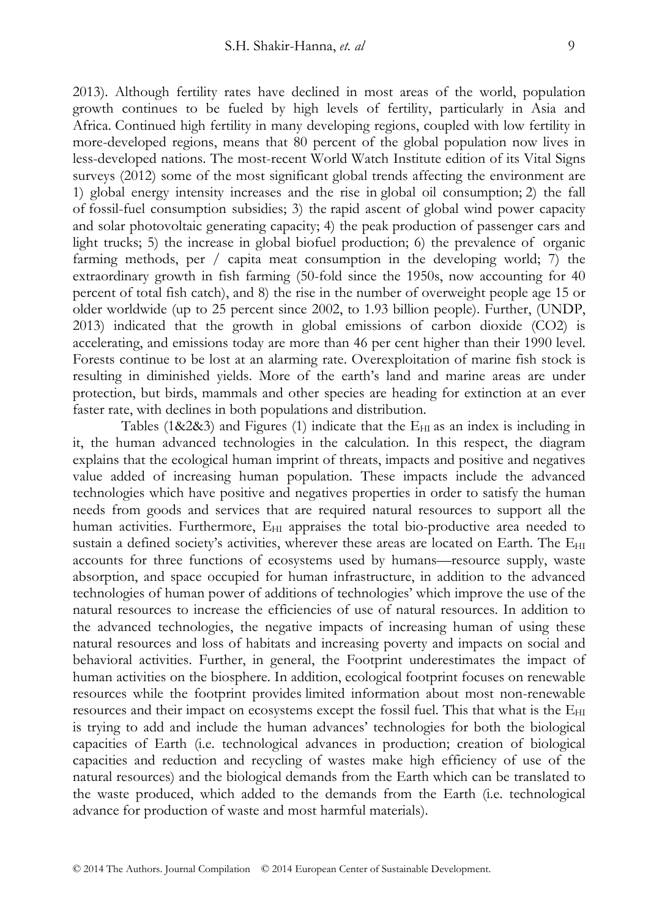2013). Although fertility rates have declined in most areas of the world, population growth continues to be fueled by high levels of fertility, particularly in Asia and Africa. Continued high fertility in many developing regions, coupled with low fertility in more-developed regions, means that 80 percent of the global population now lives in less-developed nations. The most-recent World Watch Institute edition of its Vital Signs surveys (2012) some of the most significant global trends affecting the environment are 1) global energy intensity increases and the rise in global oil consumption; 2) the fall of fossil-fuel consumption subsidies; 3) the rapid ascent of global wind power capacity and solar photovoltaic generating capacity; 4) the peak production of passenger cars and light trucks; 5) the increase in global biofuel production; 6) the prevalence of organic farming methods, per / capita meat consumption in the developing world; 7) the extraordinary growth in fish farming (50-fold since the 1950s, now accounting for 40 percent of total fish catch), and 8) the rise in the number of overweight people age 15 or older worldwide (up to 25 percent since 2002, to 1.93 billion people). Further, (UNDP, 2013) indicated that the growth in global emissions of carbon dioxide (CO2) is accelerating, and emissions today are more than 46 per cent higher than their 1990 level. Forests continue to be lost at an alarming rate. Overexploitation of marine fish stock is resulting in diminished yields. More of the earth's land and marine areas are under protection, but birds, mammals and other species are heading for extinction at an ever faster rate, with declines in both populations and distribution.

Tables (1&2&3) and Figures (1) indicate that the  $E_{HI}$  as an index is including in it, the human advanced technologies in the calculation. In this respect, the diagram explains that the ecological human imprint of threats, impacts and positive and negatives value added of increasing human population. These impacts include the advanced technologies which have positive and negatives properties in order to satisfy the human needs from goods and services that are required natural resources to support all the human activities. Furthermore,  $E_{\text{HI}}$  appraises the total bio-productive area needed to sustain a defined society's activities, wherever these areas are located on Earth. The E<sub>HI</sub> accounts for three functions of ecosystems used by humans—resource supply, waste absorption, and space occupied for human infrastructure, in addition to the advanced technologies of human power of additions of technologies' which improve the use of the natural resources to increase the efficiencies of use of natural resources. In addition to the advanced technologies, the negative impacts of increasing human of using these natural resources and loss of habitats and increasing poverty and impacts on social and behavioral activities. Further, in general, the Footprint underestimates the impact of human activities on the biosphere. In addition, ecological footprint focuses on renewable resources while the footprint provides limited information about most non-renewable resources and their impact on ecosystems except the fossil fuel. This that what is the E<sub>HI</sub> is trying to add and include the human advances' technologies for both the biological capacities of Earth (i.e. technological advances in production; creation of biological capacities and reduction and recycling of wastes make high efficiency of use of the natural resources) and the biological demands from the Earth which can be translated to the waste produced, which added to the demands from the Earth (i.e. technological advance for production of waste and most harmful materials).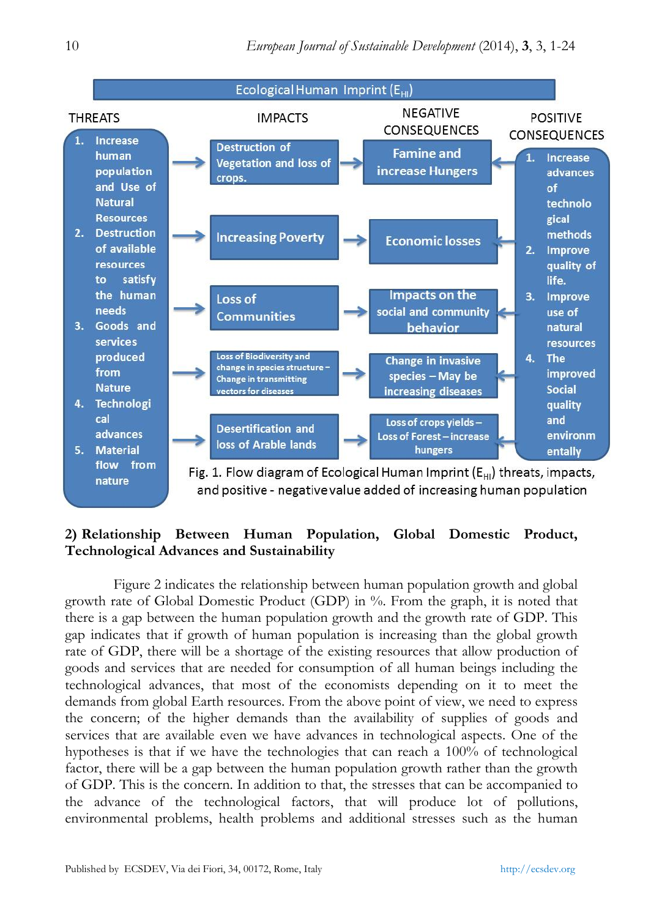

# **2) Relationship Between Human Population, Global Domestic Product, Technological Advances and Sustainability**

Figure 2 indicates the relationship between human population growth and global growth rate of Global Domestic Product (GDP) in %. From the graph, it is noted that there is a gap between the human population growth and the growth rate of GDP. This gap indicates that if growth of human population is increasing than the global growth rate of GDP, there will be a shortage of the existing resources that allow production of goods and services that are needed for consumption of all human beings including the technological advances, that most of the economists depending on it to meet the demands from global Earth resources. From the above point of view, we need to express the concern; of the higher demands than the availability of supplies of goods and services that are available even we have advances in technological aspects. One of the hypotheses is that if we have the technologies that can reach a 100% of technological factor, there will be a gap between the human population growth rather than the growth of GDP. This is the concern. In addition to that, the stresses that can be accompanied to the advance of the technological factors, that will produce lot of pollutions, environmental problems, health problems and additional stresses such as the human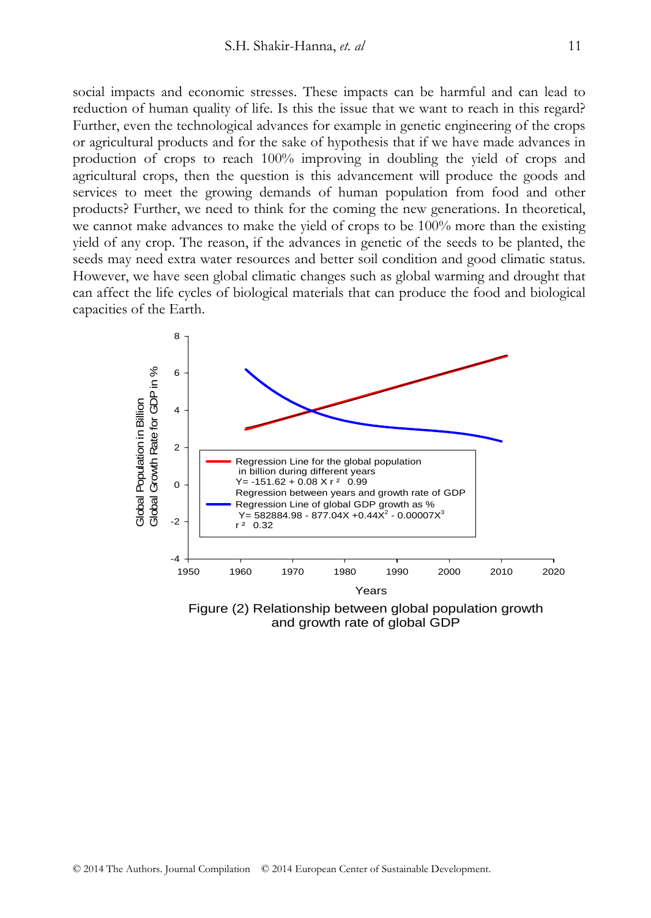social impacts and economic stresses. These impacts can be harmful and can lead to reduction of human quality of life. Is this the issue that we want to reach in this regard? Further, even the technological advances for example in genetic engineering of the crops or agricultural products and for the sake of hypothesis that if we have made advances in production of crops to reach 100% improving in doubling the yield of crops and agricultural crops, then the question is this advancement will produce the goods and services to meet the growing demands of human population from food and other products? Further, we need to think for the coming the new generations. In theoretical, we cannot make advances to make the yield of crops to be 100% more than the existing yield of any crop. The reason, if the advances in genetic of the seeds to be planted, the seeds may need extra water resources and better soil condition and good climatic status. However, we have seen global climatic changes such as global warming and drought that can affect the life cycles of biological materials that can produce the food and biological capacities of the Earth.



Figure (2) Relationship between global population growth and growth rate of global GDP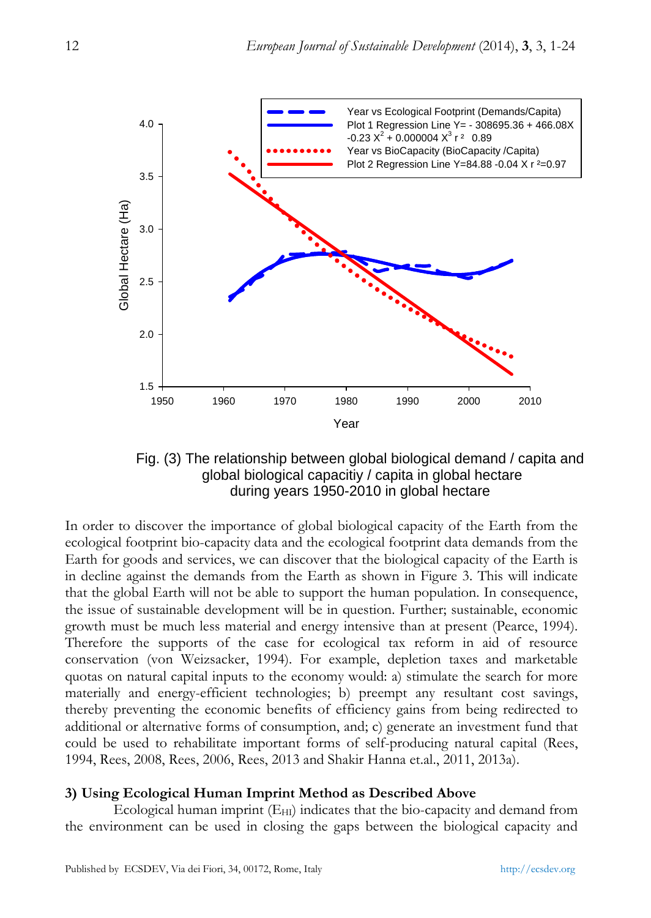

Fig. (3) The relationship between global biological demand / capita and global biological capacitiy / capita in global hectare during years 1950-2010 in global hectare

In order to discover the importance of global biological capacity of the Earth from the ecological footprint bio-capacity data and the ecological footprint data demands from the Earth for goods and services, we can discover that the biological capacity of the Earth is in decline against the demands from the Earth as shown in Figure 3. This will indicate that the global Earth will not be able to support the human population. In consequence, the issue of sustainable development will be in question. Further; sustainable, economic growth must be much less material and energy intensive than at present (Pearce, 1994). Therefore the supports of the case for ecological tax reform in aid of resource conservation (von Weizsacker, 1994). For example, depletion taxes and marketable quotas on natural capital inputs to the economy would: a) stimulate the search for more materially and energy-efficient technologies; b) preempt any resultant cost savings, thereby preventing the economic benefits of efficiency gains from being redirected to additional or alternative forms of consumption, and; c) generate an investment fund that could be used to rehabilitate important forms of self-producing natural capital (Rees, 1994, Rees, 2008, Rees, 2006, Rees, 2013 and Shakir Hanna et.al., 2011, 2013a).

## **3) Using Ecological Human Imprint Method as Described Above**

Ecological human imprint  $(E_{HI})$  indicates that the bio-capacity and demand from the environment can be used in closing the gaps between the biological capacity and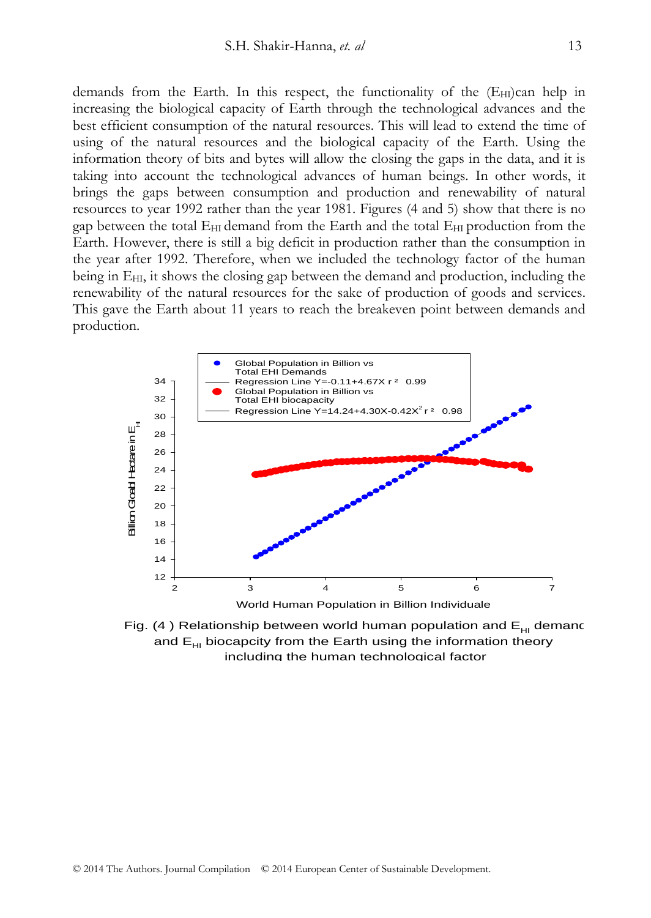demands from the Earth. In this respect, the functionality of the  $(E_{HI})c$  help in increasing the biological capacity of Earth through the technological advances and the best efficient consumption of the natural resources. This will lead to extend the time of using of the natural resources and the biological capacity of the Earth. Using the information theory of bits and bytes will allow the closing the gaps in the data, and it is taking into account the technological advances of human beings. In other words, it brings the gaps between consumption and production and renewability of natural resources to year 1992 rather than the year 1981. Figures (4 and 5) show that there is no gap between the total  $E_{HI}$  demand from the Earth and the total  $E_{HI}$  production from the Earth. However, there is still a big deficit in production rather than the consumption in the year after 1992. Therefore, when we included the technology factor of the human being in  $E_{HI}$ , it shows the closing gap between the demand and production, including the renewability of the natural resources for the sake of production of goods and services. This gave the Earth about 11 years to reach the breakeven point between demands and production.



Fig. (4) Relationship between world human population and  $E_{HI}$  demand and  $E_{H}$  biocapcity from the Earth using the information theory including the human technological factor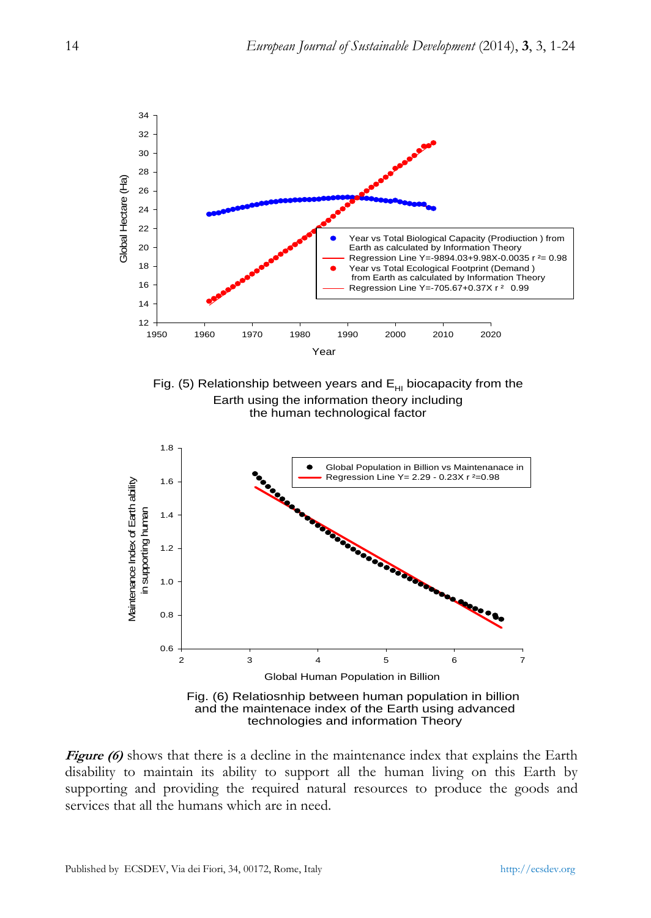

**Figure (6)** shows that there is a decline in the maintenance index that explains the Earth disability to maintain its ability to support all the human living on this Earth by supporting and providing the required natural resources to produce the goods and services that all the humans which are in need.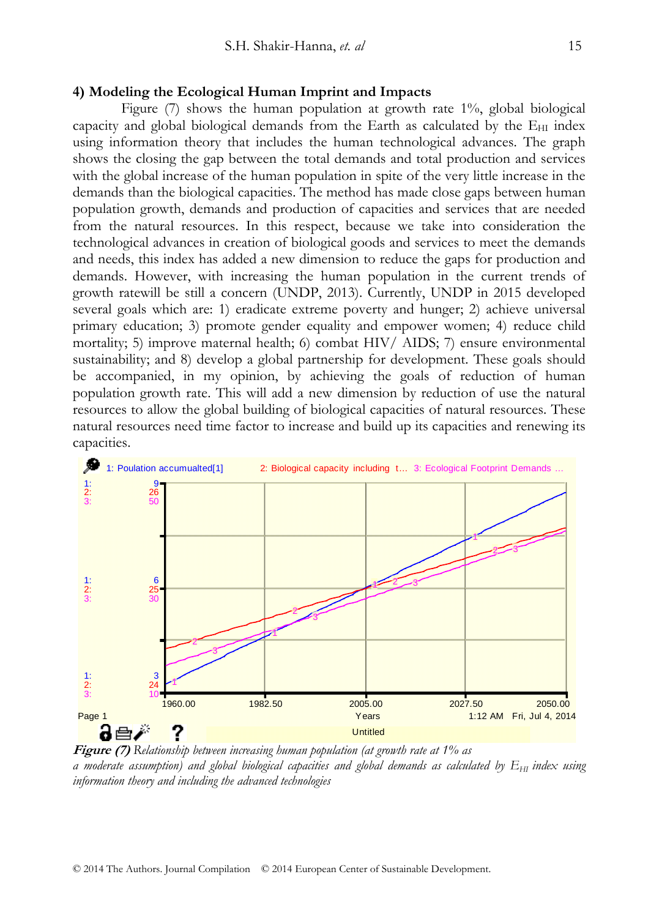#### **4) Modeling the Ecological Human Imprint and Impacts**

Figure (7) shows the human population at growth rate 1%, global biological capacity and global biological demands from the Earth as calculated by the  $E_{\text{HI}}$  index using information theory that includes the human technological advances. The graph shows the closing the gap between the total demands and total production and services with the global increase of the human population in spite of the very little increase in the demands than the biological capacities. The method has made close gaps between human population growth, demands and production of capacities and services that are needed from the natural resources. In this respect, because we take into consideration the technological advances in creation of biological goods and services to meet the demands and needs, this index has added a new dimension to reduce the gaps for production and demands. However, with increasing the human population in the current trends of growth ratewill be still a concern (UNDP, 2013). Currently, UNDP in 2015 developed several goals which are: 1) eradicate extreme poverty and hunger; 2) achieve universal primary education; 3) promote gender equality and empower women; 4) reduce child mortality; 5) improve maternal health; 6) combat HIV/ AIDS; 7) ensure environmental sustainability; and 8) develop a global partnership for development. These goals should be accompanied, in my opinion, by achieving the goals of reduction of human population growth rate. This will add a new dimension by reduction of use the natural resources to allow the global building of biological capacities of natural resources. These natural resources need time factor to increase and build up its capacities and renewing its capacities.



**Figure (7)** *Relationship between increasing human population (at growth rate at 1% as a moderate assumption) and global biological capacities and global demands as calculated by*  $E_{HI}$  *index using information theory and including the advanced technologies*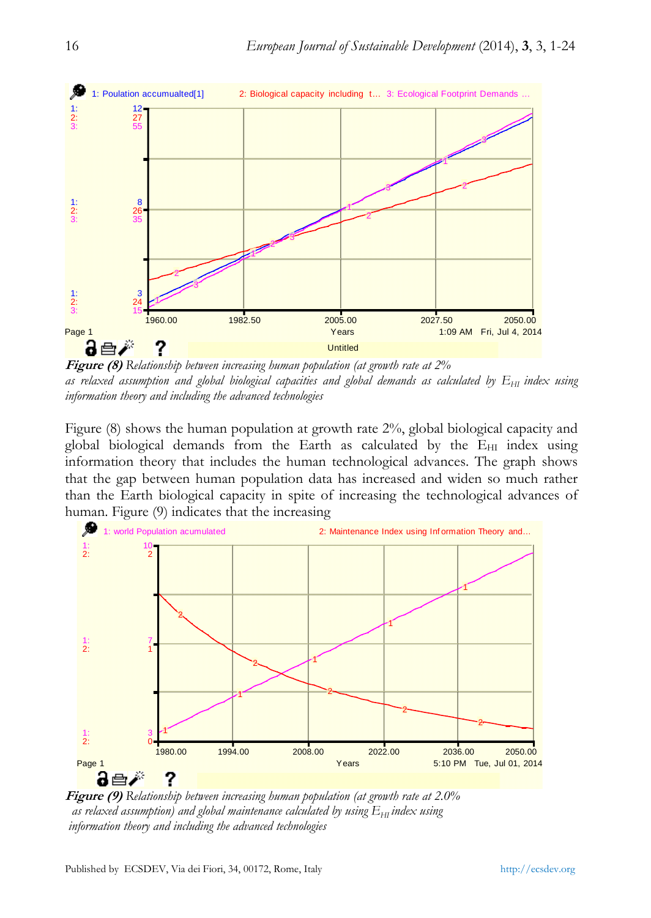

**Figure (8)** *Relationship between increasing human population (at growth rate at 2%*  as relaxed assumption and global biological capacities and global demands as calculated by  $E_{HI}$  index using *information theory and including the advanced technologies*

Figure (8) shows the human population at growth rate 2%, global biological capacity and global biological demands from the Earth as calculated by the  $E_{\text{HI}}$  index using information theory that includes the human technological advances. The graph shows that the gap between human population data has increased and widen so much rather than the Earth biological capacity in spite of increasing the technological advances of human. Figure (9) indicates that the increasing



**Figure (9)** *Relationship between increasing human population (at growth rate at 2.0%*   $a$ s relaxed assumption) and global maintenance calculated by using  $E_{\text{HI}}$  index using  *information theory and including the advanced technologies*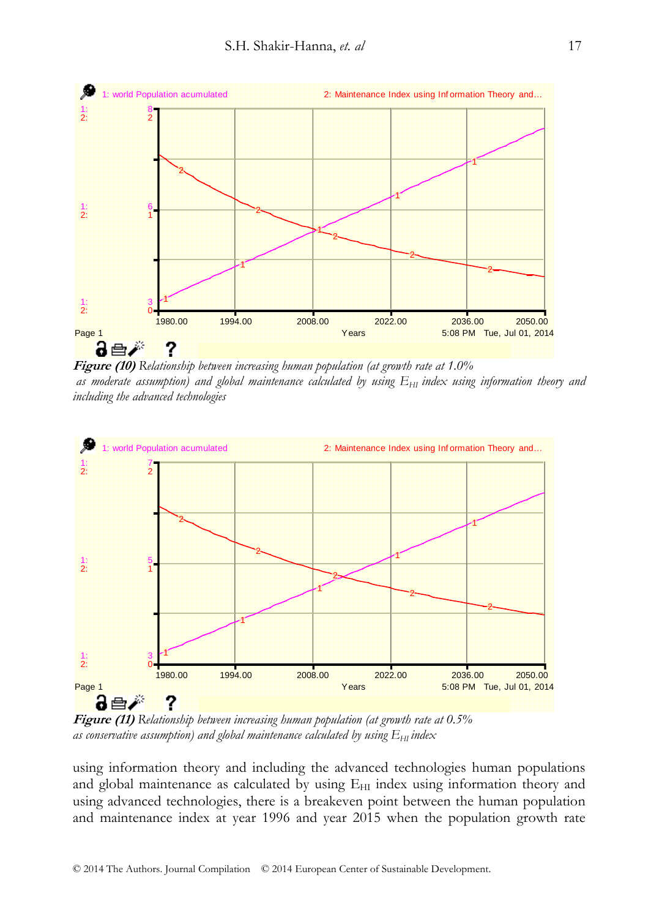

**Figure (10)** *Relationship between increasing human population (at growth rate at 1.0%*  as moderate assumption) and global maintenance calculated by using  $E_{HI}$  index using information theory and *including the advanced technologies* 



**Figure (11)** *Relationship between increasing human population (at growth rate at 0.5% as conservative assumption) and global maintenance calculated by using*  $E_{\text{HI}}$  *index* 

using information theory and including the advanced technologies human populations and global maintenance as calculated by using  $E_{HI}$  index using information theory and using advanced technologies, there is a breakeven point between the human population and maintenance index at year 1996 and year 2015 when the population growth rate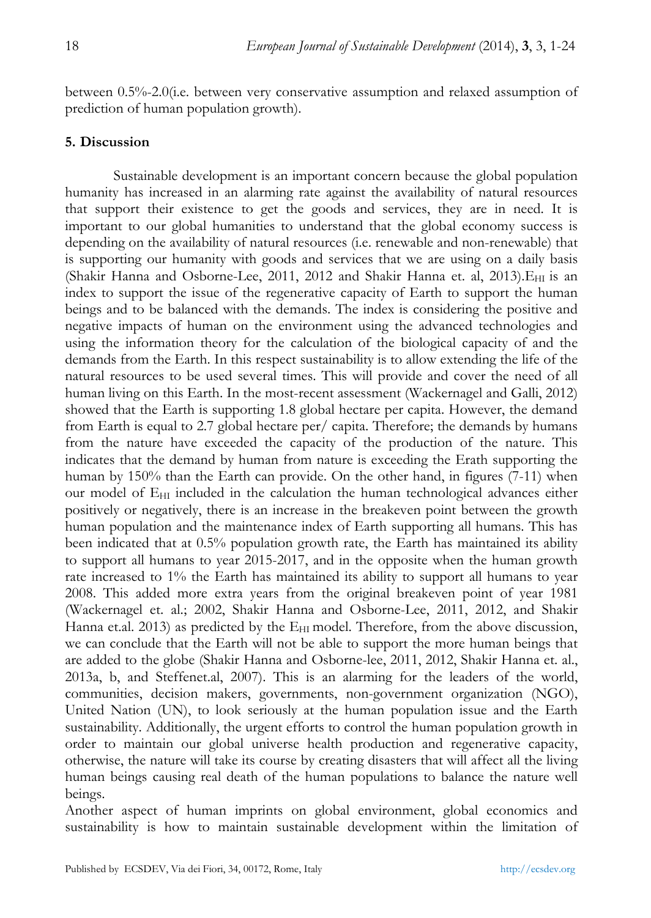between 0.5%-2.0(i.e. between very conservative assumption and relaxed assumption of prediction of human population growth).

## **5. Discussion**

Sustainable development is an important concern because the global population humanity has increased in an alarming rate against the availability of natural resources that support their existence to get the goods and services, they are in need. It is important to our global humanities to understand that the global economy success is depending on the availability of natural resources (i.e. renewable and non-renewable) that is supporting our humanity with goods and services that we are using on a daily basis (Shakir Hanna and Osborne-Lee, 2011, 2012 and Shakir Hanna et. al, 2013). E<sub>HI</sub> is an index to support the issue of the regenerative capacity of Earth to support the human beings and to be balanced with the demands. The index is considering the positive and negative impacts of human on the environment using the advanced technologies and using the information theory for the calculation of the biological capacity of and the demands from the Earth. In this respect sustainability is to allow extending the life of the natural resources to be used several times. This will provide and cover the need of all human living on this Earth. In the most-recent assessment (Wackernagel and Galli, 2012) showed that the Earth is supporting 1.8 global hectare per capita. However, the demand from Earth is equal to 2.7 global hectare per/ capita. Therefore; the demands by humans from the nature have exceeded the capacity of the production of the nature. This indicates that the demand by human from nature is exceeding the Erath supporting the human by 150% than the Earth can provide. On the other hand, in figures (7-11) when our model of  $E_{\text{HI}}$  included in the calculation the human technological advances either positively or negatively, there is an increase in the breakeven point between the growth human population and the maintenance index of Earth supporting all humans. This has been indicated that at 0.5% population growth rate, the Earth has maintained its ability to support all humans to year 2015-2017, and in the opposite when the human growth rate increased to 1% the Earth has maintained its ability to support all humans to year 2008. This added more extra years from the original breakeven point of year 1981 (Wackernagel et. al.; 2002, Shakir Hanna and Osborne-Lee, 2011, 2012, and Shakir Hanna et.al. 2013) as predicted by the  $E_{\text{HI}}$  model. Therefore, from the above discussion, we can conclude that the Earth will not be able to support the more human beings that are added to the globe (Shakir Hanna and Osborne-lee, 2011, 2012, Shakir Hanna et. al., 2013a, b, and Steffenet.al, 2007). This is an alarming for the leaders of the world, communities, decision makers, governments, non-government organization (NGO), United Nation (UN), to look seriously at the human population issue and the Earth sustainability. Additionally, the urgent efforts to control the human population growth in order to maintain our global universe health production and regenerative capacity, otherwise, the nature will take its course by creating disasters that will affect all the living human beings causing real death of the human populations to balance the nature well beings.

Another aspect of human imprints on global environment, global economics and sustainability is how to maintain sustainable development within the limitation of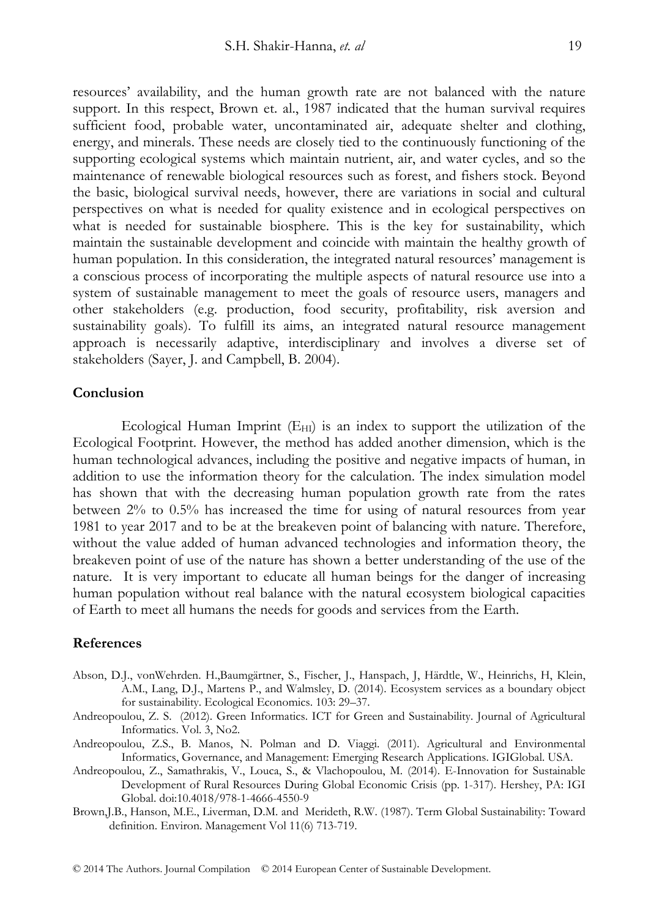resources' availability, and the human growth rate are not balanced with the nature support. In this respect, Brown et. al., 1987 indicated that the human survival requires sufficient food, probable water, uncontaminated air, adequate shelter and clothing, energy, and minerals. These needs are closely tied to the continuously functioning of the supporting ecological systems which maintain nutrient, air, and water cycles, and so the maintenance of renewable biological resources such as forest, and fishers stock. Beyond the basic, biological survival needs, however, there are variations in social and cultural perspectives on what is needed for quality existence and in ecological perspectives on what is needed for sustainable biosphere. This is the key for sustainability, which maintain the sustainable development and coincide with maintain the healthy growth of human population. In this consideration, the integrated natural resources' management is a conscious process of incorporating the multiple aspects of natural resource use into a system of sustainable management to meet the goals of resource users, managers and other stakeholders (e.g. production, food security, profitability, risk aversion and sustainability goals). To fulfill its aims, an integrated natural resource management approach is necessarily adaptive, interdisciplinary and involves a diverse set of stakeholders (Sayer, J. and Campbell, B. 2004).

#### **Conclusion**

Ecological Human Imprint  $(E_{HI})$  is an index to support the utilization of the Ecological Footprint. However, the method has added another dimension, which is the human technological advances, including the positive and negative impacts of human, in addition to use the information theory for the calculation. The index simulation model has shown that with the decreasing human population growth rate from the rates between 2% to 0.5% has increased the time for using of natural resources from year 1981 to year 2017 and to be at the breakeven point of balancing with nature. Therefore, without the value added of human advanced technologies and information theory, the breakeven point of use of the nature has shown a better understanding of the use of the nature. It is very important to educate all human beings for the danger of increasing human population without real balance with the natural ecosystem biological capacities of Earth to meet all humans the needs for goods and services from the Earth.

#### **References**

- Abson, D.J., vonWehrden. H.,Baumgärtner, S., Fischer, J., Hanspach, J, Härdtle, W., Heinrichs, H, Klein, A.M., Lang, D.J., Martens P., and Walmsley, D. (2014). Ecosystem services as a boundary object for sustainability. Ecological Economics. 103: 29–37.
- Andreopoulou, Z. S. (2012). Green Informatics. ICT for Green and Sustainability. Journal of Agricultural Informatics. Vol. 3, No2.
- Andreopoulou, Z.S., B. Manos, N. Polman and D. Viaggi. (2011). Agricultural and Environmental Informatics, Governance, and Management: Emerging Research Applications. IGIGlobal. USA.
- Andreopoulou, Z., Samathrakis, V., Louca, S., & Vlachopoulou, M. (2014). E-Innovation for Sustainable Development of Rural Resources During Global Economic Crisis (pp. 1-317). Hershey, PA: IGI Global. doi:10.4018/978-1-4666-4550-9
- Brown,J.B., Hanson, M.E., Liverman, D.M. and Merideth, R.W. (1987). Term Global Sustainability: Toward definition. Environ. Management Vol 11(6) 713-719.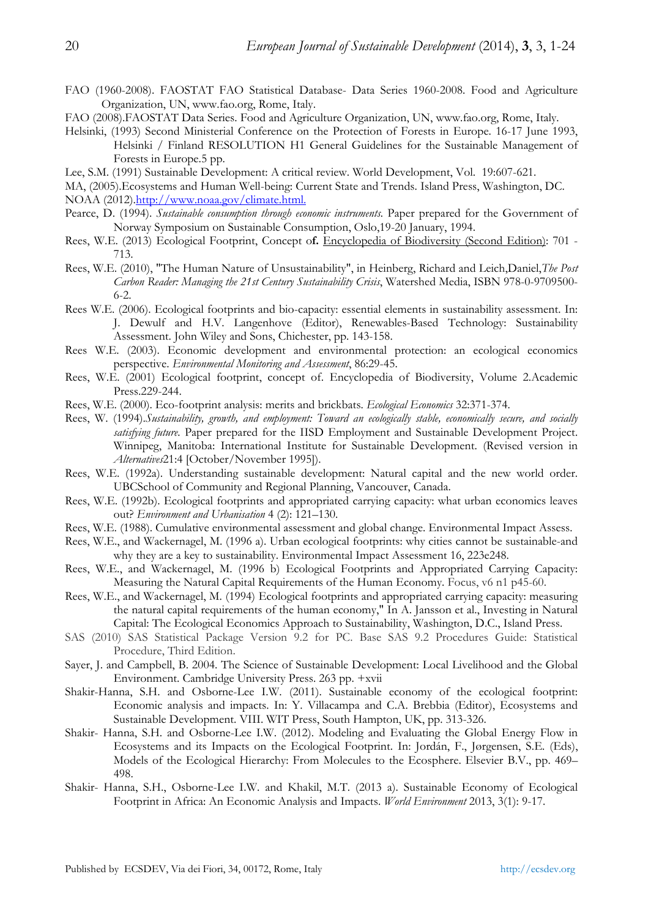- FAO (1960-2008). FAOSTAT FAO Statistical Database- Data Series 1960-2008. Food and Agriculture Organization, UN, www.fao.org, Rome, Italy.
- FAO (2008).FAOSTAT Data Series. Food and Agriculture Organization, UN, www.fao.org, Rome, Italy.
- Helsinki, (1993) Second Ministerial Conference on the Protection of Forests in Europe. 16-17 June 1993, Helsinki / Finland RESOLUTION H1 General Guidelines for the Sustainable Management of Forests in Europe.5 pp.
- Lee, S.M. (1991) Sustainable Development: A critical review. World Development, Vol. 19:607-621.
- MA, (2005).Ecosystems and Human Well-being: Current State and Trends. Island Press, Washington, DC. NOAA (2012).http://www.noaa.gov/climate.html.
- Pearce, D. (1994). *Sustainable consumption through economic instruments.* Paper prepared for the Government of Norway Symposium on Sustainable Consumption, Oslo,19-20 January, 1994.
- Rees, W.E. (2013) Ecological Footprint, Concept o**f.** Encyclopedia of Biodiversity (Second Edition): 701 713.
- Rees, W.E. (2010), "The Human Nature of Unsustainability", in Heinberg, Richard and Leich,Daniel,*The Post Carbon Reader: Managing the 21st Century Sustainability Crisis*, Watershed Media, ISBN 978-0-9709500- 6-2.
- Rees W.E. (2006). Ecological footprints and bio-capacity: essential elements in sustainability assessment. In: J. Dewulf and H.V. Langenhove (Editor), Renewables-Based Technology: Sustainability Assessment. John Wiley and Sons, Chichester, pp. 143-158.
- Rees W.E. (2003). Economic development and environmental protection: an ecological economics perspective. *Environmental Monitoring and Assessment*, 86:29-45.
- Rees, W.E. (2001) Ecological footprint, concept of. Encyclopedia of Biodiversity, Volume 2.Academic Press.229-244.
- Rees, W.E. (2000). Eco-footprint analysis: merits and brickbats. *Ecological Economics* 32:371-374.
- Rees, W. (1994).*Sustainability, growth, and employment: Toward an ecologically stable, economically secure, and socially satisfying future.* Paper prepared for the IISD Employment and Sustainable Development Project. Winnipeg, Manitoba: International Institute for Sustainable Development. (Revised version in *Alternatives*21:4 [October/November 1995]).
- Rees, W.E. (1992a). Understanding sustainable development: Natural capital and the new world order. UBCSchool of Community and Regional Planning, Vancouver, Canada.
- Rees, W.E. (1992b). Ecological footprints and appropriated carrying capacity: what urban economics leaves out? *Environment and Urbanisation* 4 (2): 121–130.
- Rees, W.E. (1988). Cumulative environmental assessment and global change. Environmental Impact Assess.
- Rees, W.E., and Wackernagel, M. (1996 a). Urban ecological footprints: why cities cannot be sustainable-and why they are a key to sustainability. Environmental Impact Assessment 16, 223e248.
- Rees, W.E., and Wackernagel, M. (1996 b) Ecological Footprints and Appropriated Carrying Capacity: Measuring the Natural Capital Requirements of the Human Economy. Focus, v6 n1 p45-60.
- Rees, W.E., and Wackernagel, M. (1994) Ecological footprints and appropriated carrying capacity: measuring the natural capital requirements of the human economy," In A. Jansson et al., Investing in Natural Capital: The Ecological Economics Approach to Sustainability, Washington, D.C., Island Press.
- SAS (2010) SAS Statistical Package Version 9.2 for PC. Base SAS 9.2 Procedures Guide: Statistical Procedure, Third Edition.
- Sayer, J. and Campbell, B. 2004. The Science of Sustainable Development: Local Livelihood and the Global Environment. Cambridge University Press. 263 pp. +xvii
- Shakir-Hanna, S.H. and Osborne-Lee I.W. (2011). Sustainable economy of the ecological footprint: Economic analysis and impacts. In: Y. Villacampa and C.A. Brebbia (Editor), Ecosystems and Sustainable Development. VIII. WIT Press, South Hampton, UK, pp. 313-326.
- Shakir- Hanna, S.H. and Osborne-Lee I.W. (2012). Modeling and Evaluating the Global Energy Flow in Ecosystems and its Impacts on the Ecological Footprint. In: Jordán, F., Jørgensen, S.E. (Eds), Models of the Ecological Hierarchy: From Molecules to the Ecosphere. Elsevier B.V., pp. 469– 498.
- Shakir- Hanna, S.H., Osborne-Lee I.W. and Khakil, M.T. (2013 a). Sustainable Economy of Ecological Footprint in Africa: An Economic Analysis and Impacts. *World Environment* 2013, 3(1): 9-17.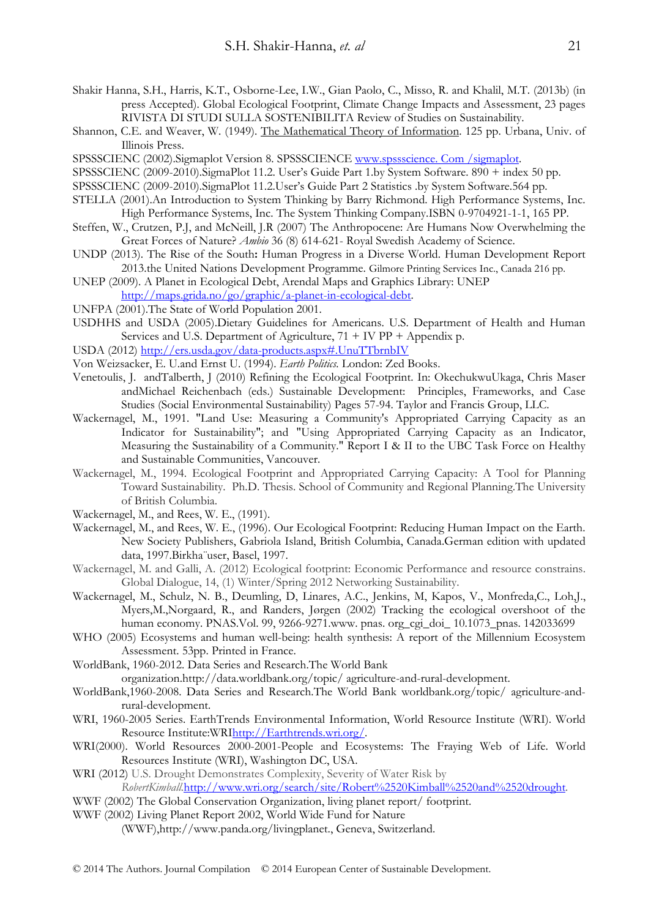- Shakir Hanna, S.H., Harris, K.T., Osborne-Lee, I.W., Gian Paolo, C., Misso, R. and Khalil, M.T. (2013b) (in press Accepted). Global Ecological Footprint, Climate Change Impacts and Assessment, 23 pages RIVISTA DI STUDI SULLA SOSTENIBILITA Review of Studies on Sustainability.
- Shannon, C.E. and Weaver, W. (1949). The Mathematical Theory of Information. 125 pp. Urbana, Univ. of Illinois Press.
- SPSSSCIENC (2002).Sigmaplot Version 8. SPSSSCIENCE www.spssscience. Com /sigmaplot.
- SPSSSCIENC (2009-2010).SigmaPlot 11.2. User's Guide Part 1.by System Software. 890 + index 50 pp.
- SPSSSCIENC (2009-2010).SigmaPlot 11.2.User's Guide Part 2 Statistics .by System Software.564 pp.
- STELLA (2001).An Introduction to System Thinking by Barry Richmond. High Performance Systems, Inc. High Performance Systems, Inc. The System Thinking Company.ISBN 0-9704921-1-1, 165 PP.
- Steffen, W., Crutzen, P.J, and McNeill, J.R (2007) The Anthropocene: Are Humans Now Overwhelming the Great Forces of Nature? *Ambio* 36 (8) 614-621- Royal Swedish Academy of Science.
- UNDP (2013). The Rise of the South**:** Human Progress in a Diverse World. Human Development Report 2013.the United Nations Development Programme. Gilmore Printing Services Inc., Canada 216 pp.
- UNEP (2009). A Planet in Ecological Debt, Arendal Maps and Graphics Library: UNEP http://maps.grida.no/go/graphic/a-planet-in-ecological-debt.
- UNFPA (2001).The State of World Population 2001.
- USDHHS and USDA (2005).Dietary Guidelines for Americans. U.S. Department of Health and Human Services and U.S. Department of Agriculture, 71 + IV PP + Appendix p.
- USDA (2012) http://ers.usda.gov/data-products.aspx#.UnuTTbrnbIV
- Von Weizsacker, E. U.and Ernst U. (1994). *Earth Politics.* London: Zed Books.
- Venetoulis, J. andTalberth, J (2010) Refining the Ecological Footprint. In: OkechukwuUkaga, Chris Maser andMichael Reichenbach (eds.) Sustainable Development: Principles, Frameworks, and Case Studies (Social Environmental Sustainability) Pages 57-94. Taylor and Francis Group, LLC.
- Wackernagel, M., 1991. "Land Use: Measuring a Community's Appropriated Carrying Capacity as an Indicator for Sustainability"; and "Using Appropriated Carrying Capacity as an Indicator, Measuring the Sustainability of a Community." Report I & II to the UBC Task Force on Healthy and Sustainable Communities, Vancouver.
- Wackernagel, M., 1994. Ecological Footprint and Appropriated Carrying Capacity: A Tool for Planning Toward Sustainability. Ph.D. Thesis. School of Community and Regional Planning.The University of British Columbia.
- Wackernagel, M., and Rees, W. E., (1991).
- Wackernagel, M., and Rees, W. E., (1996). Our Ecological Footprint: Reducing Human Impact on the Earth. New Society Publishers, Gabriola Island, British Columbia, Canada.German edition with updated data, 1997.Birkha¨user, Basel, 1997.
- Wackernagel, M. and Galli, A. (2012) Ecological footprint: Economic Performance and resource constrains. Global Dialogue, 14, (1) Winter/Spring 2012 Networking Sustainability.
- Wackernagel, M., Schulz, N. B., Deumling, D, Linares, A.C., Jenkins, M, Kapos, V., Monfreda,C., Loh,J., Myers,M.,Norgaard, R., and Randers, Jørgen (2002) Tracking the ecological overshoot of the human economy. PNAS.Vol. 99, 9266-9271.www. pnas. org\_cgi\_doi\_ 10.1073\_pnas. 142033699
- WHO (2005) Ecosystems and human well-being: health synthesis: A report of the Millennium Ecosystem Assessment. 53pp. Printed in France.
- WorldBank, 1960-2012. Data Series and Research.The World Bank

organization.http://data.worldbank.org/topic/ agriculture-and-rural-development.

- WorldBank,1960-2008. Data Series and Research.The World Bank worldbank.org/topic/ agriculture-andrural-development.
- WRI, 1960-2005 Series. EarthTrends Environmental Information, World Resource Institute (WRI). World Resource Institute:WRIhttp://Earthtrends.wri.org/.
- WRI(2000). World Resources 2000-2001-People and Ecosystems: The Fraying Web of Life. World Resources Institute (WRI), Washington DC, USA.
- WRI (2012) U.S. Drought Demonstrates Complexity, Severity of Water Risk by *RobertKimball.*http://www.wri.org/search/site/Robert%2520Kimball%2520and%2520drought*.*
- WWF (2002) The Global Conservation Organization, living planet report/ footprint.
- WWF (2002) Living Planet Report 2002, World Wide Fund for Nature

(WWF),http://www.panda.org/livingplanet., Geneva, Switzerland.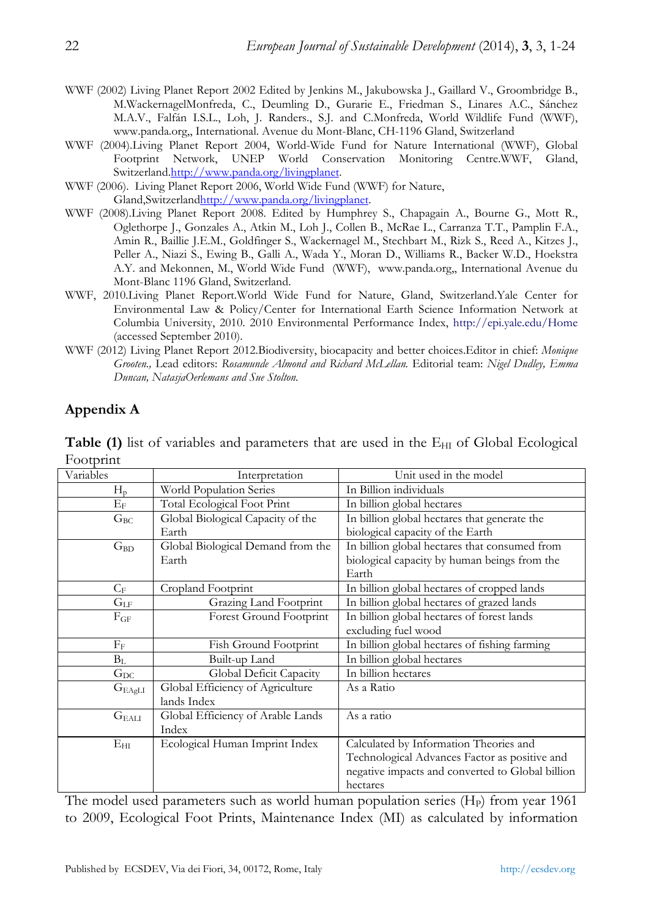- WWF (2002) Living Planet Report 2002 Edited by Jenkins M., Jakubowska J., Gaillard V., Groombridge B., M.WackernagelMonfreda, C., Deumling D., Gurarie E., Friedman S., Linares A.C., Sánchez M.A.V., Falfán I.S.L., Loh, J. Randers., S.J. and C.Monfreda, World Wildlife Fund (WWF), www.panda.org,, International. Avenue du Mont-Blanc, CH-1196 Gland, Switzerland
- WWF (2004).Living Planet Report 2004, World-Wide Fund for Nature International (WWF), Global Footprint Network, UNEP World Conservation Monitoring Centre. WWF, Gland, Switzerland.http://www.panda.org/livingplanet.
- WWF (2006). Living Planet Report 2006, World Wide Fund (WWF) for Nature,
- Gland,Switzerlandhttp://www.panda.org/livingplanet.
- WWF (2008).Living Planet Report 2008. Edited by Humphrey S., Chapagain A., Bourne G., Mott R., Oglethorpe J., Gonzales A., Atkin M., Loh J., Collen B., McRae L., Carranza T.T., Pamplin F.A., Amin R., Baillie J.E.M., Goldfinger S., Wackernagel M., Stechbart M., Rizk S., Reed A., Kitzes J., Peller A., Niazi S., Ewing B., Galli A., Wada Y., Moran D., Williams R., Backer W.D., Hoekstra A.Y. and Mekonnen, M., World Wide Fund (WWF), www.panda.org,, International Avenue du Mont-Blanc 1196 Gland, Switzerland.
- WWF, 2010.Living Planet Report.World Wide Fund for Nature, Gland, Switzerland.Yale Center for Environmental Law & Policy/Center for International Earth Science Information Network at Columbia University, 2010. 2010 Environmental Performance Index, http://epi.yale.edu/Home (accessed September 2010).
- WWF (2012) Living Planet Report 2012.Biodiversity, biocapacity and better choices.Editor in chief: *Monique Grooten.,* Lead editors: *Rosamunde Almond and Richard McLellan.* Editorial team: *Nigel Dudley, Emma Duncan, NatasjaOerlemans and Sue Stolton.*

## **Appendix A**

| Variables       | Interpretation                    | Unit used in the model                           |  |  |
|-----------------|-----------------------------------|--------------------------------------------------|--|--|
| $H_p$           | World Population Series           | In Billion individuals                           |  |  |
| $\rm E_{F}$     | Total Ecological Foot Print       | In billion global hectares                       |  |  |
| $G_{BC}$        | Global Biological Capacity of the | In billion global hectares that generate the     |  |  |
|                 | Earth                             | biological capacity of the Earth                 |  |  |
| $G_{BD}$        | Global Biological Demand from the | In billion global hectares that consumed from    |  |  |
|                 | Earth                             | biological capacity by human beings from the     |  |  |
|                 |                                   | Earth                                            |  |  |
| $C_{\rm F}$     | Cropland Footprint                | In billion global hectares of cropped lands      |  |  |
| $G_{LF}$        | Grazing Land Footprint            | In billion global hectares of grazed lands       |  |  |
| $F_{GF}$        | Forest Ground Footprint           | In billion global hectares of forest lands       |  |  |
|                 |                                   | excluding fuel wood                              |  |  |
| $F_{\rm F}$     | Fish Ground Footprint             | In billion global hectares of fishing farming    |  |  |
| $B_L$           | Built-up Land                     | In billion global hectares                       |  |  |
| $G_{\rm DC}$    | Global Deficit Capacity           | In billion hectares                              |  |  |
| $G_{\rm EAgLI}$ | Global Efficiency of Agriculture  | As a Ratio                                       |  |  |
|                 | lands Index                       |                                                  |  |  |
| $G_{\rm EALI}$  | Global Efficiency of Arable Lands | As a ratio                                       |  |  |
|                 | Index                             |                                                  |  |  |
| $E_{\rm HI}$    | Ecological Human Imprint Index    | Calculated by Information Theories and           |  |  |
|                 |                                   | Technological Advances Factor as positive and    |  |  |
|                 |                                   | negative impacts and converted to Global billion |  |  |
|                 |                                   | hectares                                         |  |  |

**Table (1)** list of variables and parameters that are used in the  $E_{HI}$  of Global Ecological Footprint

The model used parameters such as world human population series  $(H<sub>P</sub>)$  from year 1961 to 2009, Ecological Foot Prints, Maintenance Index (MI) as calculated by information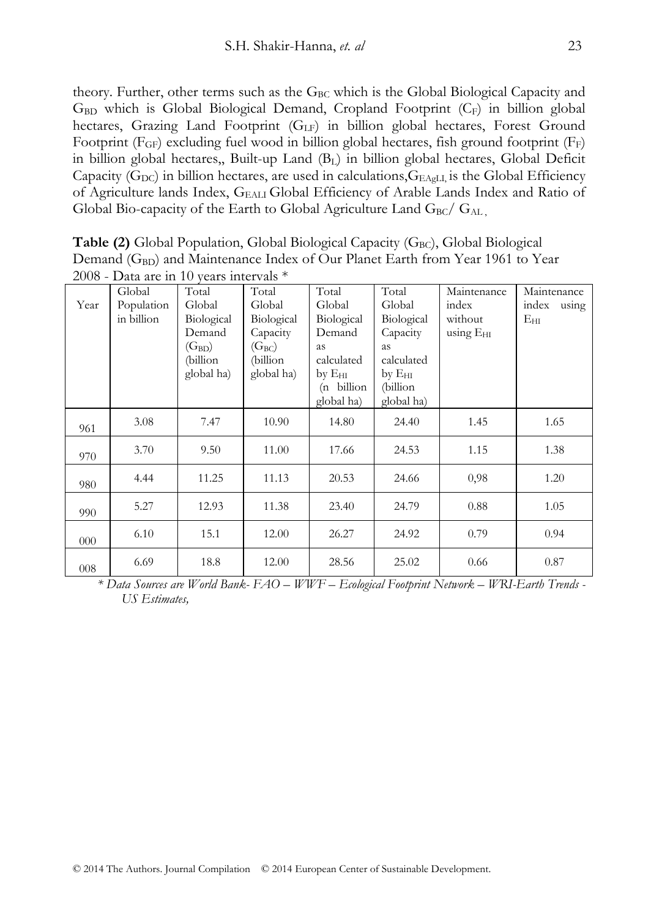theory. Further, other terms such as the GBC which is the Global Biological Capacity and  $G<sub>BD</sub>$  which is Global Biological Demand, Cropland Footprint  $(C<sub>F</sub>)$  in billion global hectares, Grazing Land Footprint  $(G<sub>LF</sub>)$  in billion global hectares, Forest Ground Footprint  $(F_{GF})$  excluding fuel wood in billion global hectares, fish ground footprint  $(F_F)$ in billion global hectares,, Built-up Land (BL) in billion global hectares, Global Deficit Capacity (G<sub>DC</sub>) in billion hectares, are used in calculations,  $G_{\text{EAgLI}}$  is the Global Efficiency of Agriculture lands Index, GEALI Global Efficiency of Arable Lands Index and Ratio of Global Bio-capacity of the Earth to Global Agriculture Land  $G_{BC}/G_{AL}$ ,

| 2008 - Data are in 10 years intervals $*$ |                                    |                                                                                 |                                                                                   |                                                                                                                      |                                                                                                                |                                                       |                                               |
|-------------------------------------------|------------------------------------|---------------------------------------------------------------------------------|-----------------------------------------------------------------------------------|----------------------------------------------------------------------------------------------------------------------|----------------------------------------------------------------------------------------------------------------|-------------------------------------------------------|-----------------------------------------------|
| Year                                      | Global<br>Population<br>in billion | Total<br>Global<br>Biological<br>Demand<br>$(G_{BD})$<br>(billion<br>global ha) | Total<br>Global<br>Biological<br>Capacity<br>$(G_{BC})$<br>(billion<br>global ha) | Total<br>Global<br>Biological<br>Demand<br><b>as</b><br>calculated<br>by E <sub>HI</sub><br>(n billion<br>global ha) | Total<br>Global<br>Biological<br>Capacity<br>as<br>calculated<br>by E <sub>HI</sub><br>(billion)<br>global ha) | Maintenance<br>index<br>without<br>using $E_{\rm HI}$ | Maintenance<br>index<br>using<br>$E_{\rm HI}$ |
| 961                                       | 3.08                               | 7.47                                                                            | 10.90                                                                             | 14.80                                                                                                                | 24.40                                                                                                          | 1.45                                                  | 1.65                                          |
| 970                                       | 3.70                               | 9.50                                                                            | 11.00                                                                             | 17.66                                                                                                                | 24.53                                                                                                          | 1.15                                                  | 1.38                                          |
| 980                                       | 4.44                               | 11.25                                                                           | 11.13                                                                             | 20.53                                                                                                                | 24.66                                                                                                          | 0,98                                                  | 1.20                                          |
| 990                                       | 5.27                               | 12.93                                                                           | 11.38                                                                             | 23.40                                                                                                                | 24.79                                                                                                          | 0.88                                                  | 1.05                                          |
| 000                                       | 6.10                               | 15.1                                                                            | 12.00                                                                             | 26.27                                                                                                                | 24.92                                                                                                          | 0.79                                                  | 0.94                                          |
| 008                                       | 6.69                               | 18.8                                                                            | 12.00                                                                             | 28.56                                                                                                                | 25.02                                                                                                          | 0.66                                                  | 0.87                                          |

**Table (2)** Global Population, Global Biological Capacity (G<sub>BC</sub>), Global Biological Demand (G<sub>BD</sub>) and Maintenance Index of Our Planet Earth from Year 1961 to Year

*\* Data Sources are World Bank- FAO – WWF – Ecological Footprint Network – WRI-Earth Trends - US Estimates,*